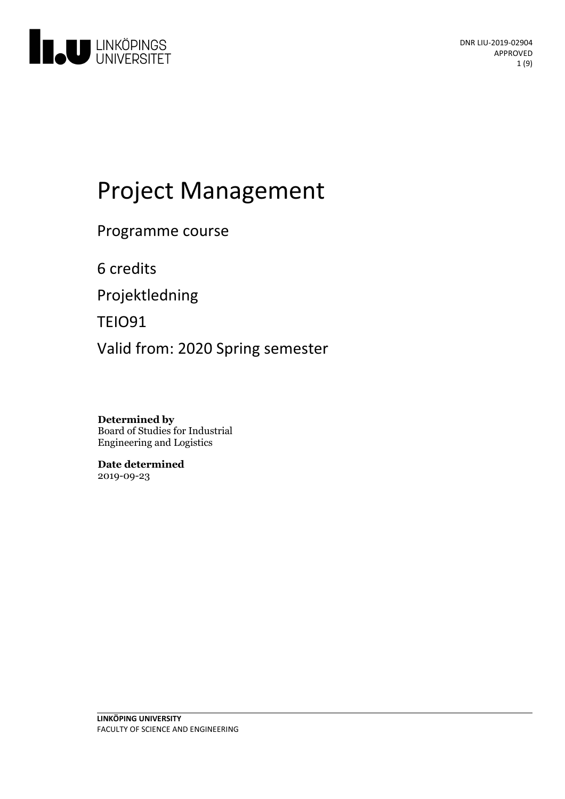

# Project Management

Programme course

6 credits

Projektledning

TEIO91

Valid from: 2020 Spring semester

**Determined by** Board of Studies for Industrial Engineering and Logistics

**Date determined** 2019-09-23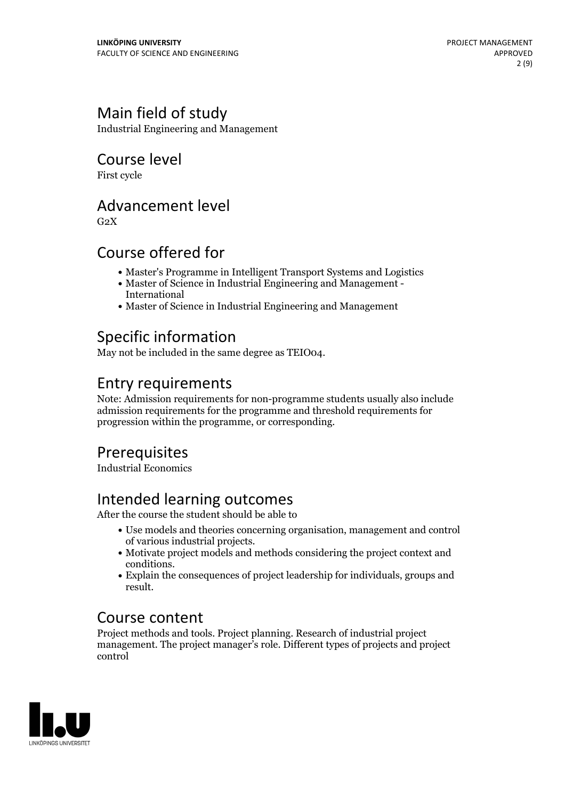# Main field of study

Industrial Engineering and Management

Course level

First cycle

### Advancement level

 $G<sub>2</sub>X$ 

### Course offered for

- Master's Programme in Intelligent Transport Systems and Logistics
- Master of Science in Industrial Engineering and Management International
- Master of Science in Industrial Engineering and Management

### Specific information

May not be included in the same degree as TEIO04.

### Entry requirements

Note: Admission requirements for non-programme students usually also include admission requirements for the programme and threshold requirements for progression within the programme, or corresponding.

# Prerequisites

Industrial Economics

# Intended learning outcomes

After the course the student should be able to

- Use models and theories concerning organisation, management and control of various industrial projects.<br>• Motivate project models and methods considering the project context and
- conditions.<br>• Explain the consequences of project leadership for individuals, groups and
- result.

### Course content

Project methods and tools. Project planning. Research of industrial project management. The project manager's role. Different types of projects and project control

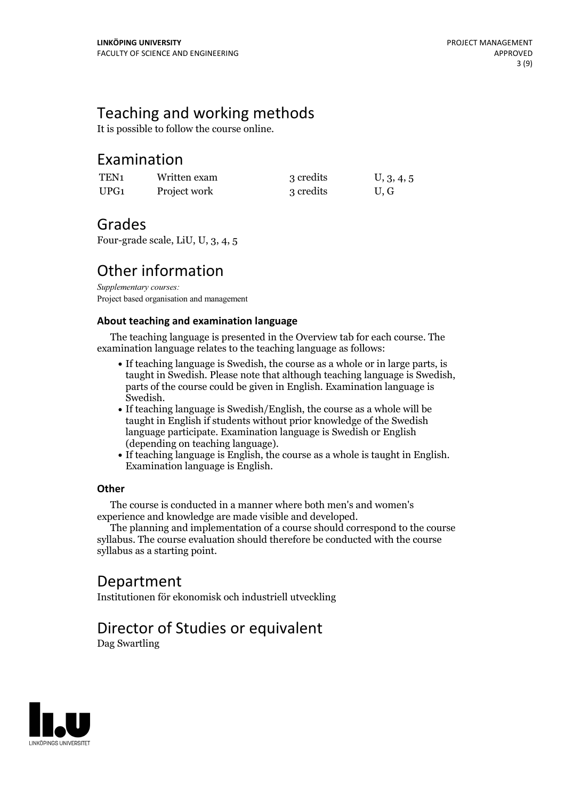### Teaching and working methods

It is possible to follow the course online.

### Examination

| TEN <sub>1</sub> | Written exam | 3 credits | U, 3, 4, 5 |
|------------------|--------------|-----------|------------|
| UPG1             | Project work | 3 credits | U, G       |

### Grades

Four-grade scale, LiU, U, 3, 4, 5

# Other information

*Supplementary courses:* Project based organisation and management

#### **About teaching and examination language**

The teaching language is presented in the Overview tab for each course. The examination language relates to the teaching language as follows:

- If teaching language is Swedish, the course as a whole or in large parts, is taught in Swedish. Please note that although teaching language is Swedish, parts of the course could be given in English. Examination language is
- Swedish.<br>• If teaching language is Swedish/English, the course as a whole will be taught in English if students without prior knowledge of the Swedish language participate. Examination language is Swedish or English
- $\bullet$  If teaching language is English, the course as a whole is taught in English. Examination language is English.

#### **Other**

The course is conducted in a manner where both men's and women's

experience and knowledge are made visible and developed. The planning and implementation of <sup>a</sup> course should correspond to the course syllabus. The course evaluation should therefore be conducted with the course syllabus as a starting point.

### Department

Institutionen för ekonomisk och industriell utveckling

# Director of Studies or equivalent

Dag Swartling

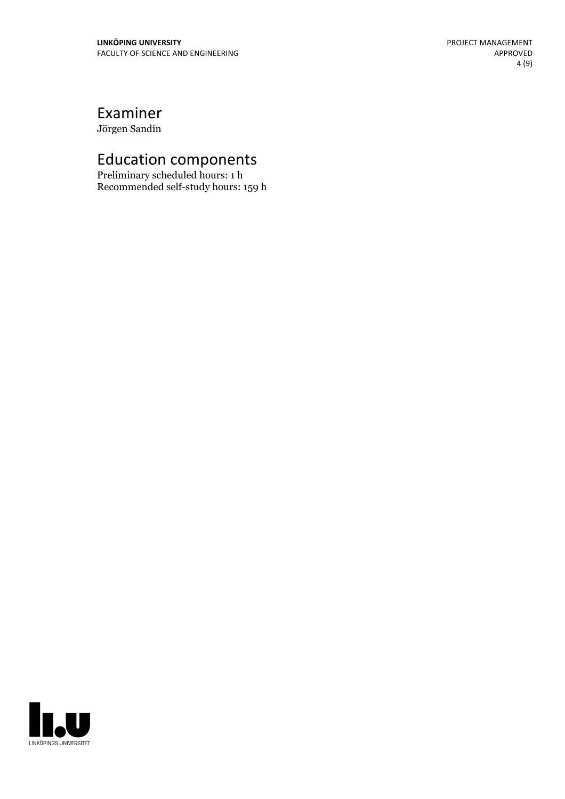# Examiner

Jörgen Sandin

# Education components

Preliminary scheduled hours: 1 h Recommended self-study hours: 159 h

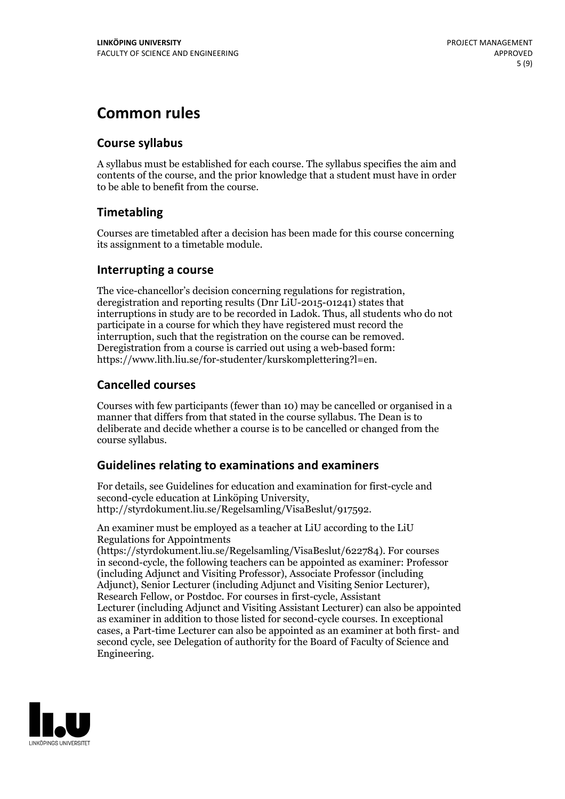# **Common rules**

#### **Course syllabus**

A syllabus must be established for each course. The syllabus specifies the aim and contents of the course, and the prior knowledge that a student must have in order to be able to benefit from the course.

### **Timetabling**

Courses are timetabled after a decision has been made for this course concerning its assignment to a timetable module.

#### **Interrupting a course**

The vice-chancellor's decision concerning regulations for registration, deregistration and reporting results (Dnr LiU-2015-01241) states that interruptions in study are to be recorded in Ladok. Thus, all students who do not participate in a course for which they have registered must record the interruption, such that the registration on the course can be removed. Deregistration from <sup>a</sup> course is carried outusing <sup>a</sup> web-based form: https://www.lith.liu.se/for-studenter/kurskomplettering?l=en.

### **Cancelled courses**

Courses with few participants (fewer than 10) may be cancelled or organised in a manner that differs from that stated in the course syllabus. The Dean is to deliberate and decide whether a course is to be cancelled or changed from the course syllabus.

### **Guidelines relatingto examinations and examiners**

For details, see Guidelines for education and examination for first-cycle and second-cycle education at Linköping University, http://styrdokument.liu.se/Regelsamling/VisaBeslut/917592.

An examiner must be employed as a teacher at LiU according to the LiU Regulations for Appointments

(https://styrdokument.liu.se/Regelsamling/VisaBeslut/622784). For courses in second-cycle, the following teachers can be appointed as examiner: Professor (including Adjunct and Visiting Professor), Associate Professor (including Adjunct), Senior Lecturer (including Adjunct and Visiting Senior Lecturer), Research Fellow, or Postdoc. For courses in first-cycle, Assistant Lecturer (including Adjunct and Visiting Assistant Lecturer) can also be appointed as examiner in addition to those listed for second-cycle courses. In exceptional cases, a Part-time Lecturer can also be appointed as an examiner at both first- and second cycle, see Delegation of authority for the Board of Faculty of Science and Engineering.

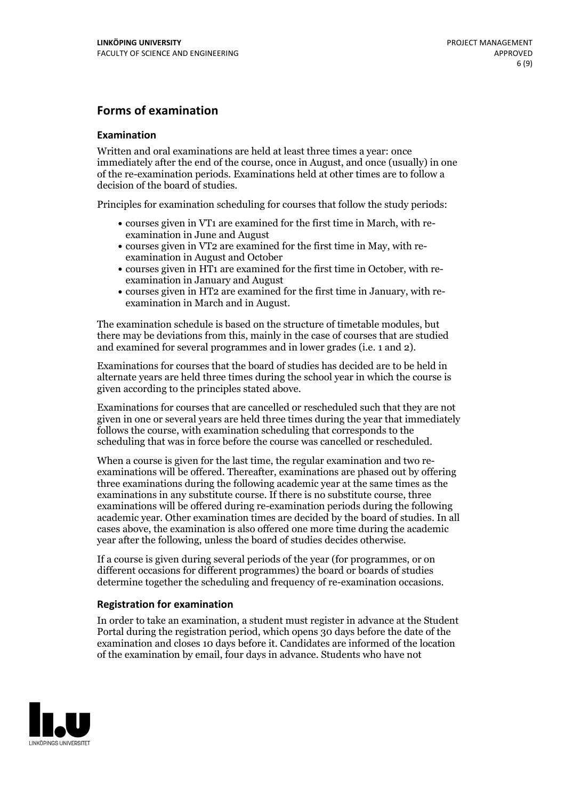#### **Forms of examination**

#### **Examination**

Written and oral examinations are held at least three times a year: once immediately after the end of the course, once in August, and once (usually) in one of the re-examination periods. Examinations held at other times are to follow a decision of the board of studies.

Principles for examination scheduling for courses that follow the study periods:

- courses given in VT1 are examined for the first time in March, with re-examination in June and August
- courses given in VT2 are examined for the first time in May, with re-examination in August and October
- courses given in HT1 are examined for the first time in October, with re-examination in January and August
- courses given in HT2 are examined for the first time in January, with re-examination in March and in August.

The examination schedule is based on the structure of timetable modules, but there may be deviations from this, mainly in the case of courses that are studied and examined for several programmes and in lower grades (i.e. 1 and 2).

Examinations for courses that the board of studies has decided are to be held in alternate years are held three times during the school year in which the course is given according to the principles stated above.

Examinations for courses that are cancelled orrescheduled such that they are not given in one or several years are held three times during the year that immediately follows the course, with examination scheduling that corresponds to the scheduling that was in force before the course was cancelled or rescheduled.

When a course is given for the last time, the regular examination and two re-<br>examinations will be offered. Thereafter, examinations are phased out by offering three examinations during the following academic year at the same times as the examinations in any substitute course. If there is no substitute course, three examinations will be offered during re-examination periods during the following academic year. Other examination times are decided by the board of studies. In all cases above, the examination is also offered one more time during the academic year after the following, unless the board of studies decides otherwise.

If a course is given during several periods of the year (for programmes, or on different occasions for different programmes) the board or boards of studies determine together the scheduling and frequency of re-examination occasions.

#### **Registration for examination**

In order to take an examination, a student must register in advance at the Student Portal during the registration period, which opens 30 days before the date of the examination and closes 10 days before it. Candidates are informed of the location of the examination by email, four days in advance. Students who have not

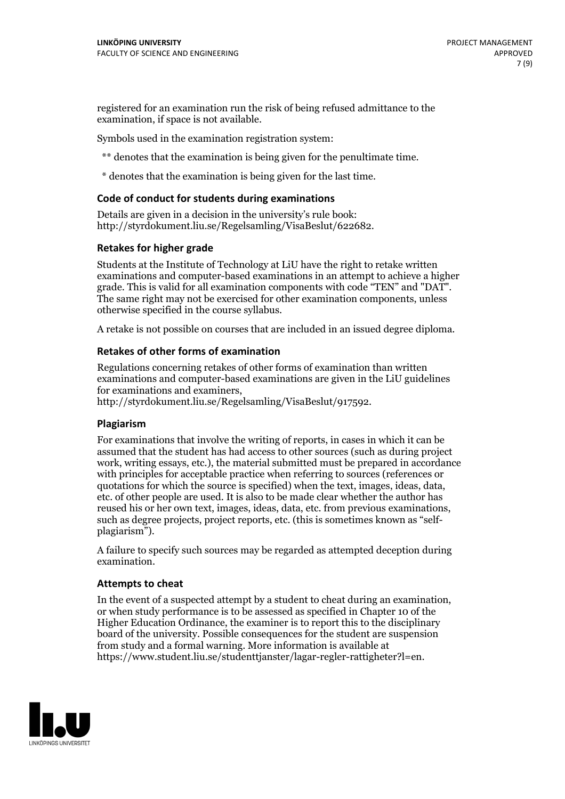registered for an examination run the risk of being refused admittance to the examination, if space is not available.

Symbols used in the examination registration system:

\*\* denotes that the examination is being given for the penultimate time.

\* denotes that the examination is being given for the last time.

#### **Code of conduct for students during examinations**

Details are given in a decision in the university's rule book: http://styrdokument.liu.se/Regelsamling/VisaBeslut/622682.

#### **Retakes for higher grade**

Students at the Institute of Technology at LiU have the right to retake written examinations and computer-based examinations in an attempt to achieve a higher grade. This is valid for all examination components with code "TEN" and "DAT". The same right may not be exercised for other examination components, unless otherwise specified in the course syllabus.

A retake is not possible on courses that are included in an issued degree diploma.

#### **Retakes of other forms of examination**

Regulations concerning retakes of other forms of examination than written examinations and computer-based examinations are given in the LiU guidelines

http://styrdokument.liu.se/Regelsamling/VisaBeslut/917592.

#### **Plagiarism**

For examinations that involve the writing of reports, in cases in which it can be assumed that the student has had access to other sources (such as during project work, writing essays, etc.), the material submitted must be prepared in accordance with principles for acceptable practice when referring to sources (references or quotations for which the source is specified) when the text, images, ideas, data,  $\vec{e}$  etc. of other people are used. It is also to be made clear whether the author has reused his or her own text, images, ideas, data, etc. from previous examinations, such as degree projects, project reports, etc. (this is sometimes known as "self- plagiarism").

A failure to specify such sources may be regarded as attempted deception during examination.

#### **Attempts to cheat**

In the event of <sup>a</sup> suspected attempt by <sup>a</sup> student to cheat during an examination, or when study performance is to be assessed as specified in Chapter <sup>10</sup> of the Higher Education Ordinance, the examiner is to report this to the disciplinary board of the university. Possible consequences for the student are suspension from study and a formal warning. More information is available at https://www.student.liu.se/studenttjanster/lagar-regler-rattigheter?l=en.

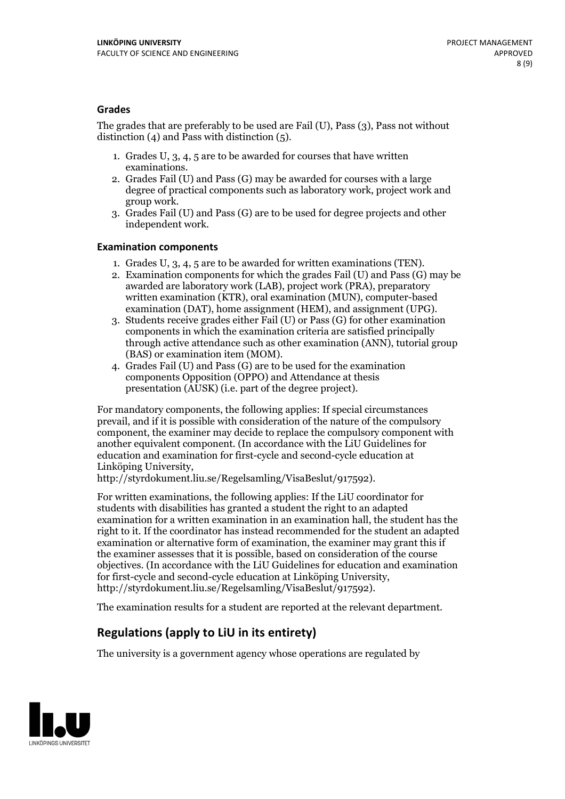#### **Grades**

The grades that are preferably to be used are Fail (U), Pass (3), Pass not without distinction  $(4)$  and Pass with distinction  $(5)$ .

- 1. Grades U, 3, 4, 5 are to be awarded for courses that have written
- examinations. 2. Grades Fail (U) and Pass (G) may be awarded for courses with <sup>a</sup> large degree of practical components such as laboratory work, project work and group work. 3. Grades Fail (U) and Pass (G) are to be used for degree projects and other
- independent work.

#### **Examination components**

- 
- 1. Grades U, 3, 4, <sup>5</sup> are to be awarded for written examinations (TEN). 2. Examination components for which the grades Fail (U) and Pass (G) may be awarded are laboratory work (LAB), project work (PRA), preparatory written examination (KTR), oral examination (MUN), computer-based
- examination (DAT), home assignment (HEM), and assignment (UPG). 3. Students receive grades either Fail (U) or Pass (G) for other examination components in which the examination criteria are satisfied principally through active attendance such as other examination (ANN), tutorial group (BAS) or examination item (MOM). 4. Grades Fail (U) and Pass (G) are to be used for the examination
- components Opposition (OPPO) and Attendance at thesis presentation (AUSK) (i.e. part of the degree project).

For mandatory components, the following applies: If special circumstances prevail, and if it is possible with consideration of the nature of the compulsory component, the examiner may decide to replace the compulsory component with another equivalent component. (In accordance with the LiU Guidelines for education and examination for first-cycle and second-cycle education at Linköping University, http://styrdokument.liu.se/Regelsamling/VisaBeslut/917592).

For written examinations, the following applies: If the LiU coordinator for students with disabilities has granted a student the right to an adapted examination for a written examination in an examination hall, the student has the right to it. If the coordinator has instead recommended for the student an adapted examination or alternative form of examination, the examiner may grant this if the examiner assesses that it is possible, based on consideration of the course objectives. (In accordance with the LiU Guidelines for education and examination for first-cycle and second-cycle education at Linköping University, http://styrdokument.liu.se/Regelsamling/VisaBeslut/917592).

The examination results for a student are reported at the relevant department.

### **Regulations (applyto LiU in its entirety)**

The university is a government agency whose operations are regulated by